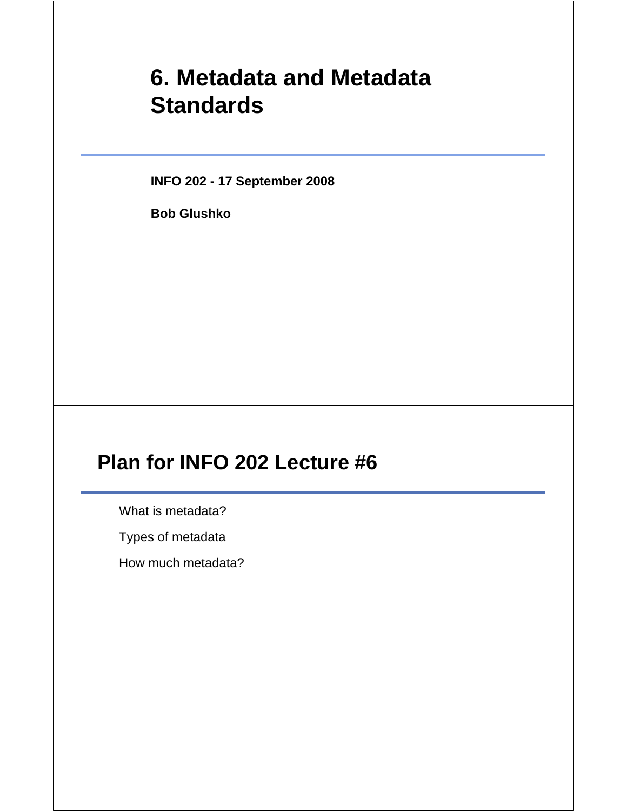# **6. Metadata and Metadata Standards**

**INFO 202 - 17 September 2008**

**Bob Glushko**

# **Plan for INFO 202 Lecture #6**

What is metadata?

Types of metadata

How much metadata?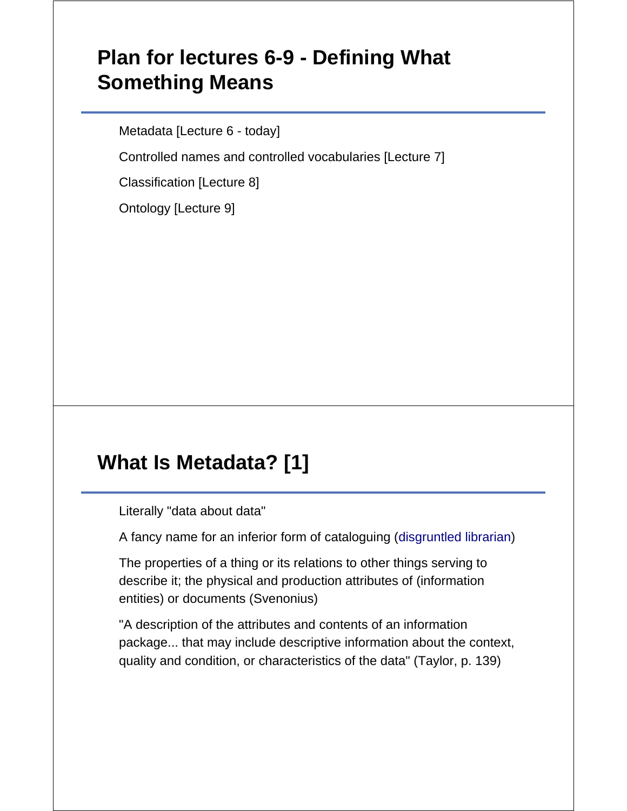# **Plan for lectures 6-9 - Defining What Something Means**

Metadata [Lecture 6 - today]

Controlled names and controlled vocabularies [Lecture 7]

Classification [Lecture 8]

Ontology [Lecture 9]

## **What Is Metadata? [1]**

Literally "data about data"

A fancy name for an inferior form of cataloguing (disgruntled librarian)

The properties of a thing or its relations to other things serving to describe it; the physical and production attributes of (information entities) or documents (Svenonius)

"A description of the attributes and contents of an information package... that may include descriptive information about the context, quality and condition, or characteristics of the data" (Taylor, p. 139)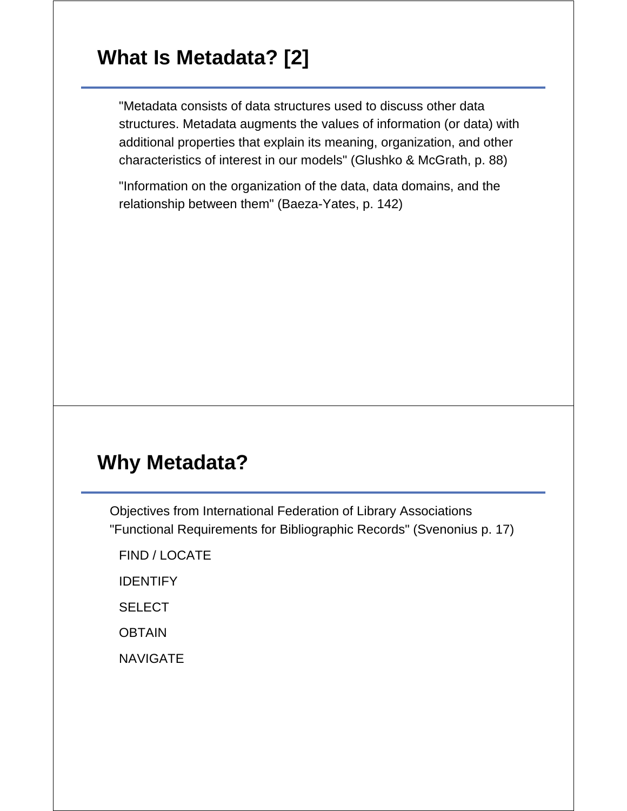# **What Is Metadata? [2]**

"Metadata consists of data structures used to discuss other data structures. Metadata augments the values of information (or data) with additional properties that explain its meaning, organization, and other characteristics of interest in our models" (Glushko & McGrath, p. 88)

"Information on the organization of the data, data domains, and the relationship between them" (Baeza-Yates, p. 142)

#### **Why Metadata?**

Objectives from International Federation of Library Associations "Functional Requirements for Bibliographic Records" (Svenonius p. 17)

FIND / LOCATE

IDENTIFY

**SELECT** 

**OBTAIN** 

**NAVIGATE**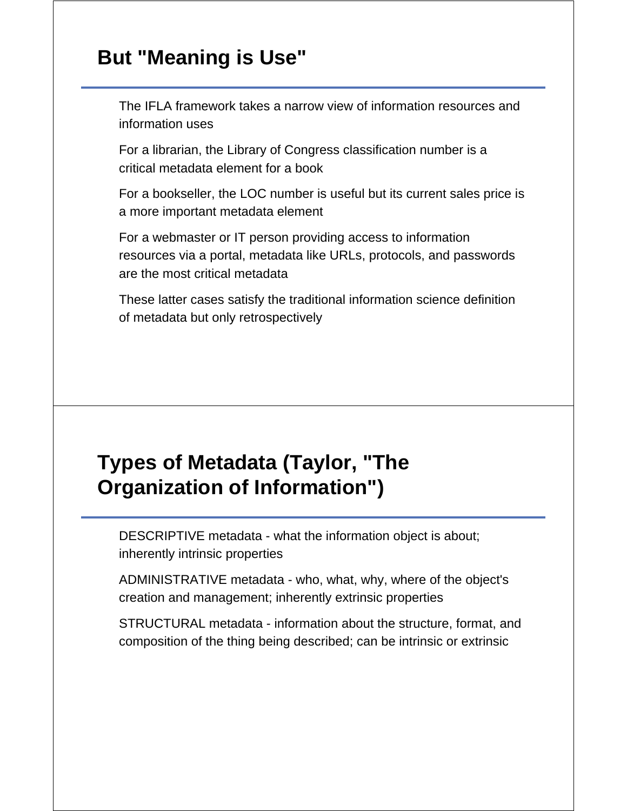#### **But "Meaning is Use"**

The IFLA framework takes a narrow view of information resources and information uses

For a librarian, the Library of Congress classification number is a critical metadata element for a book

For a bookseller, the LOC number is useful but its current sales price is a more important metadata element

For a webmaster or IT person providing access to information resources via a portal, metadata like URLs, protocols, and passwords are the most critical metadata

These latter cases satisfy the traditional information science definition of metadata but only retrospectively

# **Types of Metadata (Taylor, "The Organization of Information")**

DESCRIPTIVE metadata - what the information object is about; inherently intrinsic properties

ADMINISTRATIVE metadata - who, what, why, where of the object's creation and management; inherently extrinsic properties

STRUCTURAL metadata - information about the structure, format, and composition of the thing being described; can be intrinsic or extrinsic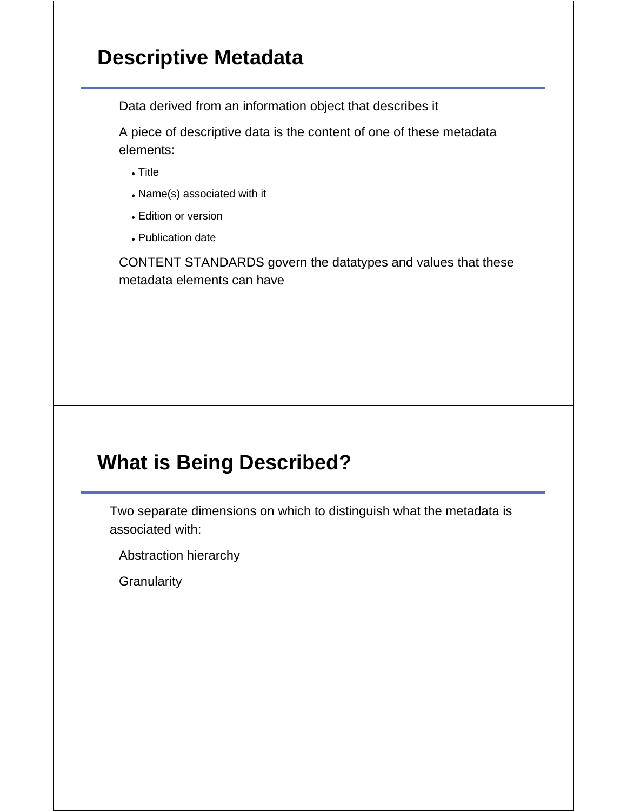### **Descriptive Metadata**

Data derived from an information object that describes it

A piece of descriptive data is the content of one of these metadata elements:

- Title
- Name(s) associated with it
- Edition or version
- Publication date

CONTENT STANDARDS govern the datatypes and values that these metadata elements can have

# **What is Being Described?**

Two separate dimensions on which to distinguish what the metadata is associated with:

Abstraction hierarchy

**Granularity**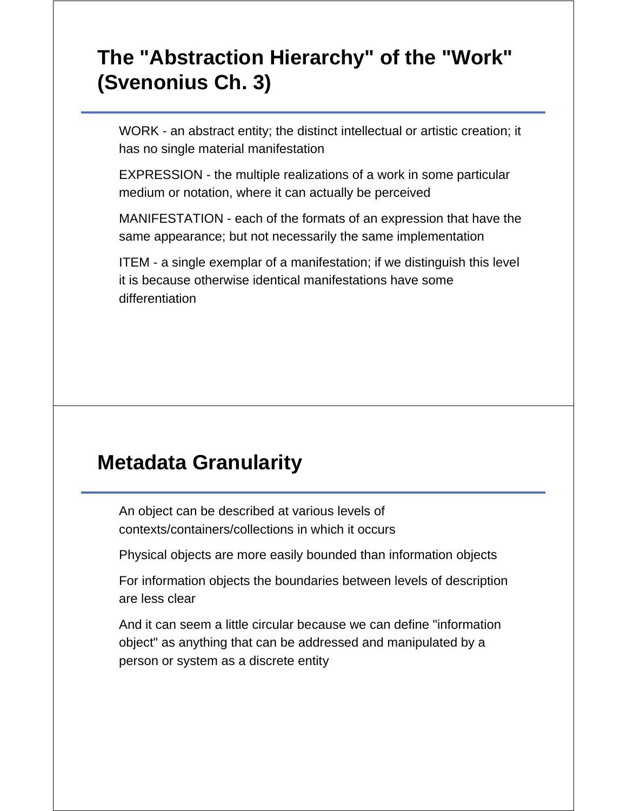# **The "Abstraction Hierarchy" of the "Work" (Svenonius Ch. 3)**

WORK - an abstract entity; the distinct intellectual or artistic creation; it has no single material manifestation

EXPRESSION - the multiple realizations of a work in some particular medium or notation, where it can actually be perceived

MANIFESTATION - each of the formats of an expression that have the same appearance; but not necessarily the same implementation

ITEM - a single exemplar of a manifestation; if we distinguish this level it is because otherwise identical manifestations have some differentiation

#### **Metadata Granularity**

An object can be described at various levels of contexts/containers/collections in which it occurs

Physical objects are more easily bounded than information objects

For information objects the boundaries between levels of description are less clear

And it can seem a little circular because we can define "information object" as anything that can be addressed and manipulated by a person or system as a discrete entity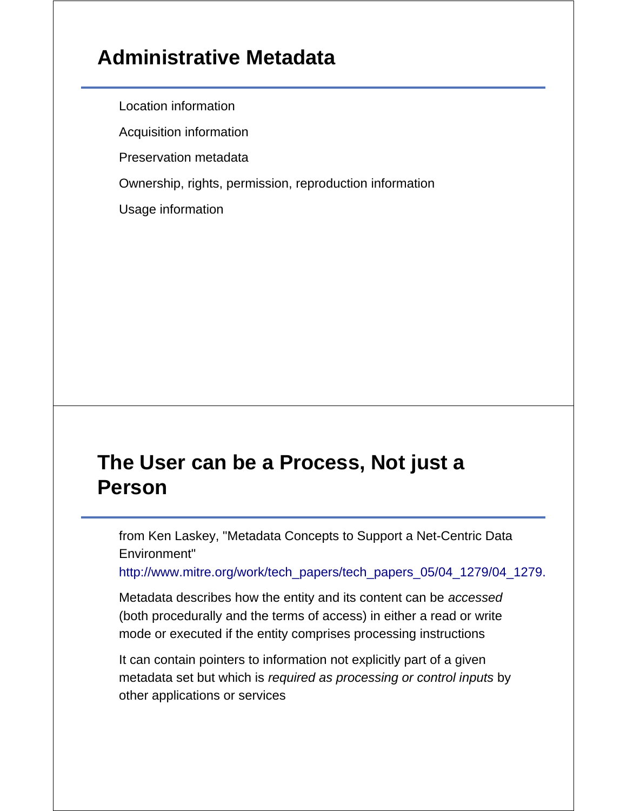# **Administrative Metadata**

Location information

Acquisition information

Preservation metadata

Ownership, rights, permission, reproduction information

Usage information

#### **The User can be a Process, Not just a Person**

from Ken Laskey, "Metadata Concepts to Support a Net-Centric Data Environment"

http://www.mitre.org/work/tech\_papers/tech\_papers\_05/04\_1279/04\_1279.

Metadata describes how the entity and its content can be *accessed* (both procedurally and the terms of access) in either a read or write mode or executed if the entity comprises processing instructions

It can contain pointers to information not explicitly part of a given metadata set but which is *required as processing or control inputs* by other applications or services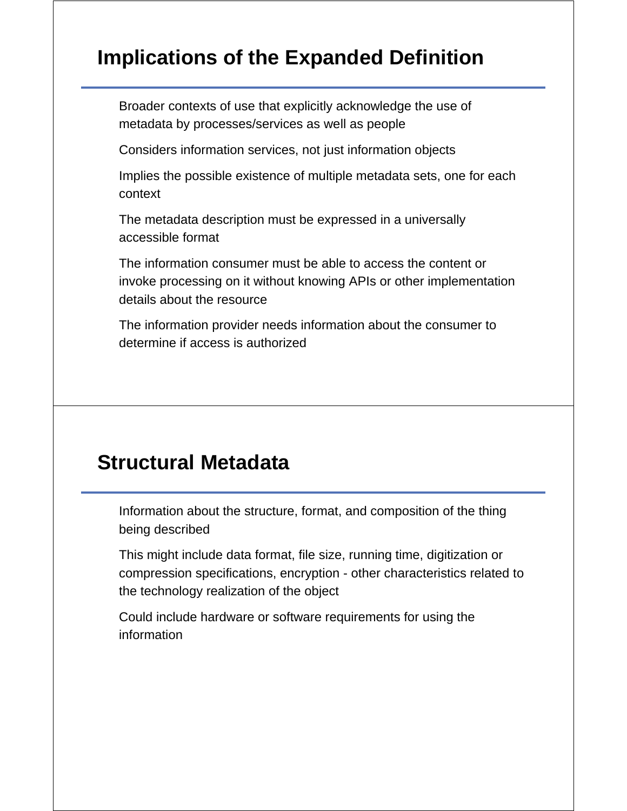# **Implications of the Expanded Definition**

Broader contexts of use that explicitly acknowledge the use of metadata by processes/services as well as people

Considers information services, not just information objects

Implies the possible existence of multiple metadata sets, one for each context

The metadata description must be expressed in a universally accessible format

The information consumer must be able to access the content or invoke processing on it without knowing APIs or other implementation details about the resource

The information provider needs information about the consumer to determine if access is authorized

#### **Structural Metadata**

Information about the structure, format, and composition of the thing being described

This might include data format, file size, running time, digitization or compression specifications, encryption - other characteristics related to the technology realization of the object

Could include hardware or software requirements for using the information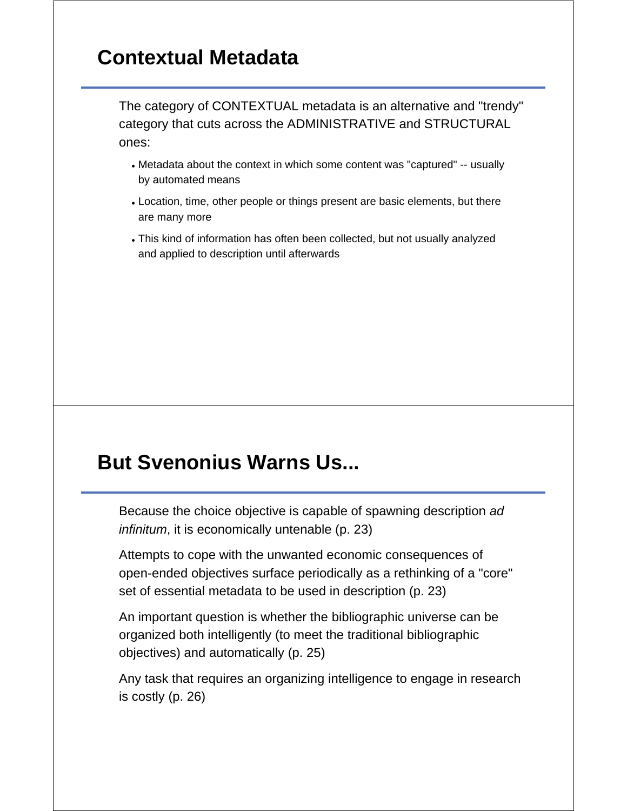# **Contextual Metadata**

The category of CONTEXTUAL metadata is an alternative and "trendy" category that cuts across the ADMINISTRATIVE and STRUCTURAL ones:

- Metadata about the context in which some content was "captured" -- usually by automated means
- Location, time, other people or things present are basic elements, but there are many more
- This kind of information has often been collected, but not usually analyzed and applied to description until afterwards

#### **But Svenonius Warns Us...**

Because the choice objective is capable of spawning description *ad infinitum*, it is economically untenable (p. 23)

Attempts to cope with the unwanted economic consequences of open-ended objectives surface periodically as a rethinking of a "core" set of essential metadata to be used in description (p. 23)

An important question is whether the bibliographic universe can be organized both intelligently (to meet the traditional bibliographic objectives) and automatically (p. 25)

Any task that requires an organizing intelligence to engage in research is costly (p. 26)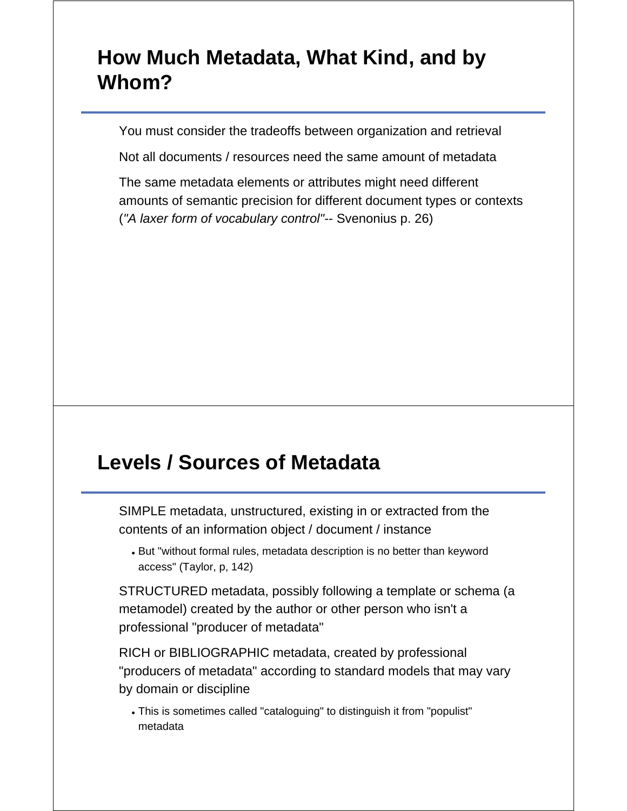# **How Much Metadata, What Kind, and by Whom?**

You must consider the tradeoffs between organization and retrieval

Not all documents / resources need the same amount of metadata

The same metadata elements or attributes might need different amounts of semantic precision for different document types or contexts (*"A laxer form of vocabulary control"*-- Svenonius p. 26)

#### **Levels / Sources of Metadata**

SIMPLE metadata, unstructured, existing in or extracted from the contents of an information object / document / instance

But "without formal rules, metadata description is no better than keyword access" (Taylor, p, 142)

STRUCTURED metadata, possibly following a template or schema (a metamodel) created by the author or other person who isn't a professional "producer of metadata"

RICH or BIBLIOGRAPHIC metadata, created by professional "producers of metadata" according to standard models that may vary by domain or discipline

This is sometimes called "cataloguing" to distinguish it from "populist" metadata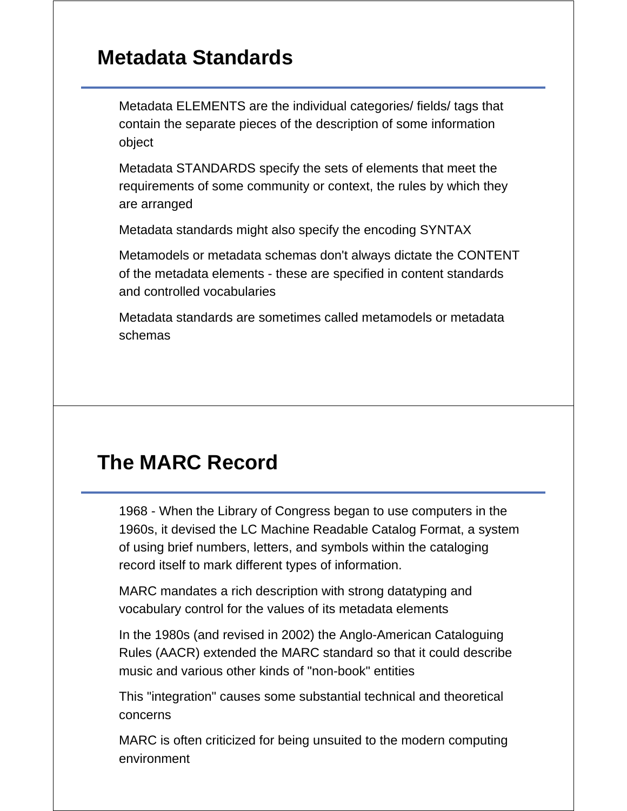#### **Metadata Standards**

Metadata ELEMENTS are the individual categories/ fields/ tags that contain the separate pieces of the description of some information object

Metadata STANDARDS specify the sets of elements that meet the requirements of some community or context, the rules by which they are arranged

Metadata standards might also specify the encoding SYNTAX

Metamodels or metadata schemas don't always dictate the CONTENT of the metadata elements - these are specified in content standards and controlled vocabularies

Metadata standards are sometimes called metamodels or metadata schemas

## **The MARC Record**

1968 - When the Library of Congress began to use computers in the 1960s, it devised the LC Machine Readable Catalog Format, a system of using brief numbers, letters, and symbols within the cataloging record itself to mark different types of information.

MARC mandates a rich description with strong datatyping and vocabulary control for the values of its metadata elements

In the 1980s (and revised in 2002) the Anglo-American Cataloguing Rules (AACR) extended the MARC standard so that it could describe music and various other kinds of "non-book" entities

This "integration" causes some substantial technical and theoretical concerns

MARC is often criticized for being unsuited to the modern computing environment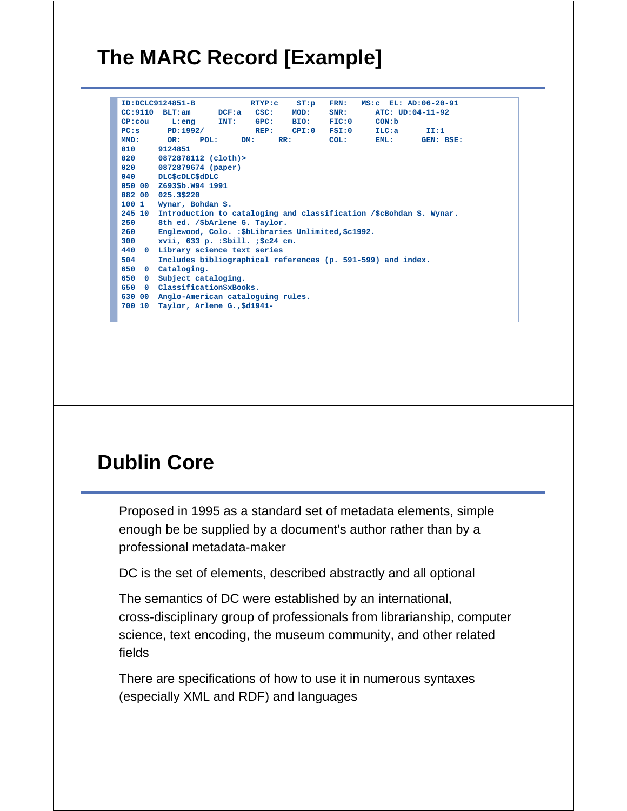# **The MARC Record [Example]**

|                     | ID:DCLC9124851-B                                                   | RTYP: c    | ST: p | FRN:   | MS: C EL: AD: 06-20-91 |                  |
|---------------------|--------------------------------------------------------------------|------------|-------|--------|------------------------|------------------|
|                     | $CC: 9110$ BLT:am $DCF: a$                                         | CSC:       | MOD:  | SNR:   |                        | ATC: UD:04-11-92 |
| $CP: \text{cou}$    | $L:eng$ $INT:$                                                     | GPC:       | BIO:  | FIG: 0 | CON:b                  |                  |
| $PC:$ s             | PD:1992/                                                           | REP:       | CPI:0 | FSI:0  | ILC: a                 | II:1             |
| MMD:                | OR:<br>POL:                                                        | DM:<br>RR: |       | COL:   | EML:                   | GEN: BSE:        |
| 010                 | 9124851                                                            |            |       |        |                        |                  |
| 020                 | 0872878112 (cloth)>                                                |            |       |        |                        |                  |
| 020                 | 0872879674 (paper)                                                 |            |       |        |                        |                  |
| 040                 | DLC\$cDLC\$dDLC                                                    |            |       |        |                        |                  |
| 050 00              | Z693\$b.W94 1991                                                   |            |       |        |                        |                  |
| 082 00              | 025.3\$220                                                         |            |       |        |                        |                  |
| 100 1               | Wynar, Bohdan S.                                                   |            |       |        |                        |                  |
| 245 10              | Introduction to cataloging and classification /\$cBohdan S. Wynar. |            |       |        |                        |                  |
| 250                 | 8th ed. /\$bArlene G. Taylor.                                      |            |       |        |                        |                  |
| 260                 | Englewood, Colo. : \$bLibraries Unlimited, \$c1992.                |            |       |        |                        |                  |
| 300                 | xvii, 633 p. : \$bill. ; \$c24 cm.                                 |            |       |        |                        |                  |
| 440<br>$\mathbf{0}$ | Library science text series                                        |            |       |        |                        |                  |
| 504                 | Includes bibliographical references (p. 591-599) and index.        |            |       |        |                        |                  |
| 650<br>$\mathbf{O}$ | Cataloging.                                                        |            |       |        |                        |                  |
| 650<br>$\mathbf{0}$ | Subject cataloging.                                                |            |       |        |                        |                  |
| 650<br>$\mathbf{0}$ | Classification\$xBooks.                                            |            |       |        |                        |                  |
| 630 00              | Anglo-American cataloguing rules.                                  |            |       |        |                        |                  |
| 700 10              | Taylor, Arlene G., \$d1941-                                        |            |       |        |                        |                  |
|                     |                                                                    |            |       |        |                        |                  |

## **Dublin Core**

Proposed in 1995 as a standard set of metadata elements, simple enough be be supplied by a document's author rather than by a professional metadata-maker

DC is the set of elements, described abstractly and all optional

The semantics of DC were established by an international, cross-disciplinary group of professionals from librarianship, computer science, text encoding, the museum community, and other related fields

There are specifications of how to use it in numerous syntaxes (especially XML and RDF) and languages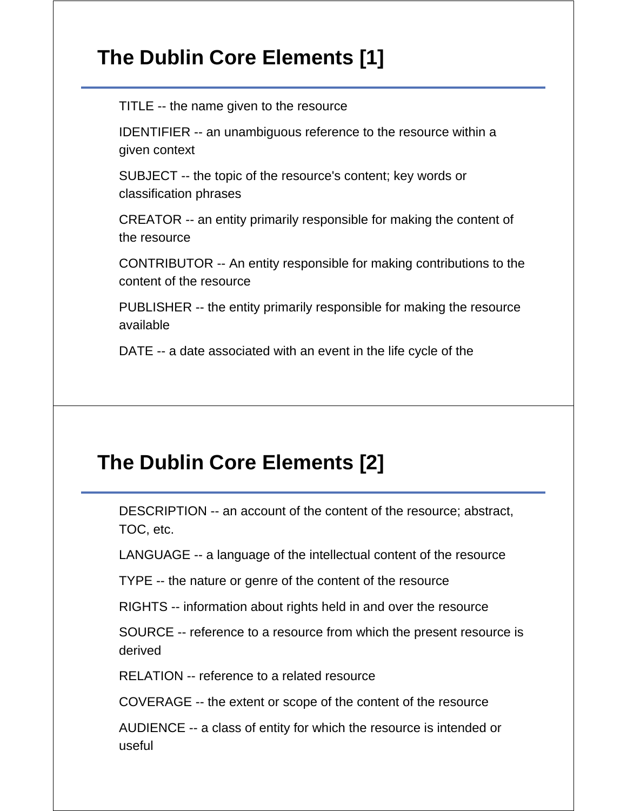# **The Dublin Core Elements [1]**

TITLE -- the name given to the resource

IDENTIFIER -- an unambiguous reference to the resource within a given context

SUBJECT -- the topic of the resource's content; key words or classification phrases

CREATOR -- an entity primarily responsible for making the content of the resource

CONTRIBUTOR -- An entity responsible for making contributions to the content of the resource

PUBLISHER -- the entity primarily responsible for making the resource available

DATE -- a date associated with an event in the life cycle of the

## **The Dublin Core Elements [2]**

DESCRIPTION -- an account of the content of the resource; abstract, TOC, etc.

LANGUAGE -- a language of the intellectual content of the resource

TYPE -- the nature or genre of the content of the resource

RIGHTS -- information about rights held in and over the resource

SOURCE -- reference to a resource from which the present resource is derived

RELATION -- reference to a related resource

COVERAGE -- the extent or scope of the content of the resource

AUDIENCE -- a class of entity for which the resource is intended or useful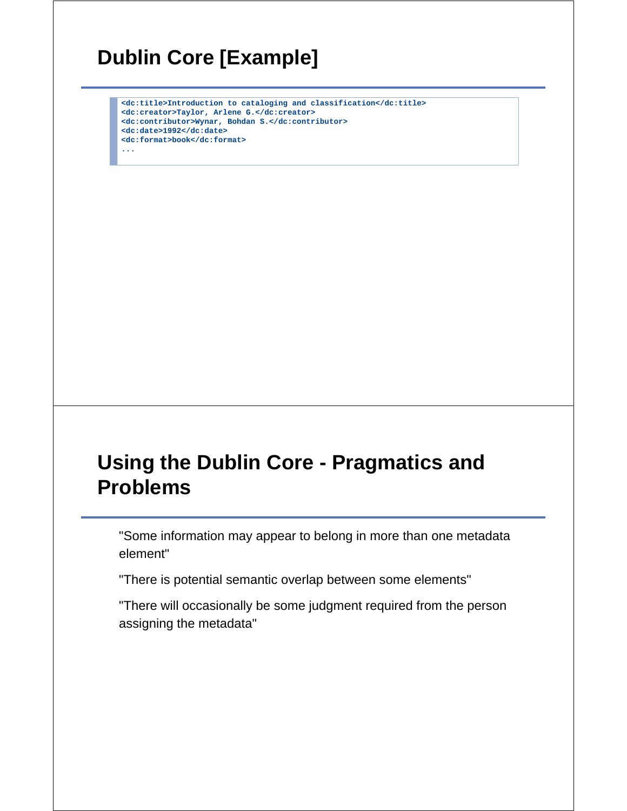# **Dublin Core [Example]**

**<dc:title>Introduction to cataloging and classification</dc:title> <dc:creator>Taylor, Arlene G.</dc:creator> <dc:contributor>Wynar, Bohdan S.</dc:contributor> <dc:date>1992</dc:date> <dc:format>book</dc:format> ...**

## **Using the Dublin Core - Pragmatics and Problems**

"Some information may appear to belong in more than one metadata element"

"There is potential semantic overlap between some elements"

"There will occasionally be some judgment required from the person assigning the metadata"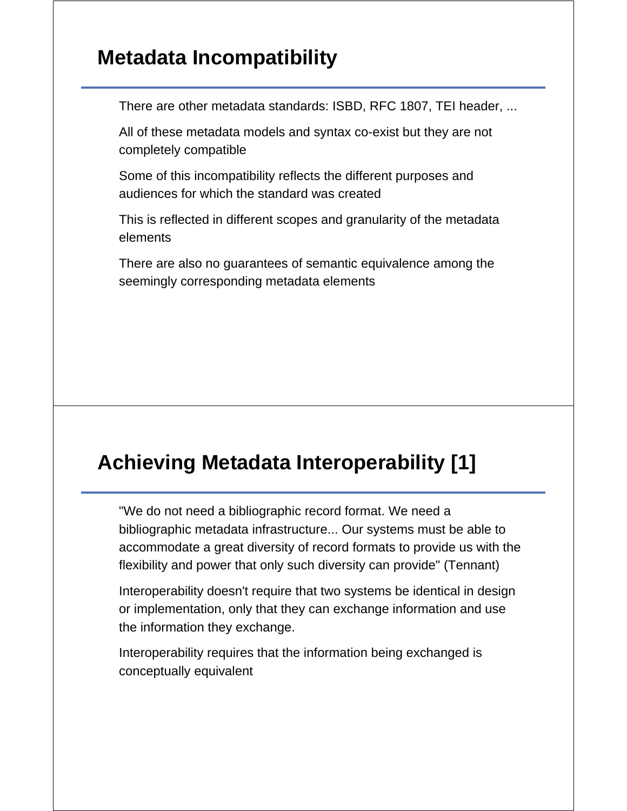### **Metadata Incompatibility**

There are other metadata standards: ISBD, RFC 1807, TEI header, ...

All of these metadata models and syntax co-exist but they are not completely compatible

Some of this incompatibility reflects the different purposes and audiences for which the standard was created

This is reflected in different scopes and granularity of the metadata elements

There are also no guarantees of semantic equivalence among the seemingly corresponding metadata elements

# **Achieving Metadata Interoperability [1]**

"We do not need a bibliographic record format. We need a bibliographic metadata infrastructure... Our systems must be able to accommodate a great diversity of record formats to provide us with the flexibility and power that only such diversity can provide" (Tennant)

Interoperability doesn't require that two systems be identical in design or implementation, only that they can exchange information and use the information they exchange.

Interoperability requires that the information being exchanged is conceptually equivalent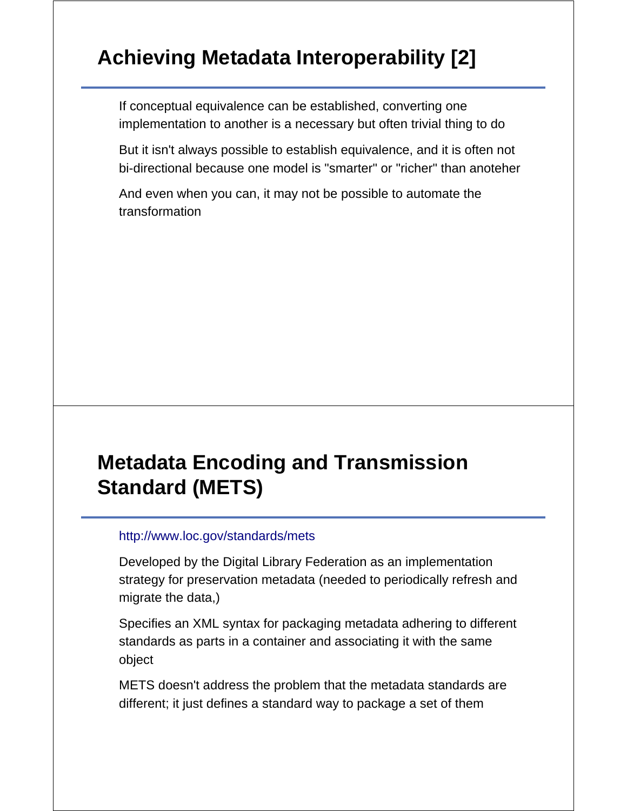# **Achieving Metadata Interoperability [2]**

If conceptual equivalence can be established, converting one implementation to another is a necessary but often trivial thing to do

But it isn't always possible to establish equivalence, and it is often not bi-directional because one model is "smarter" or "richer" than anoteher

And even when you can, it may not be possible to automate the transformation

# **Metadata Encoding and Transmission Standard (METS)**

#### http://www.loc.gov/standards/mets

Developed by the Digital Library Federation as an implementation strategy for preservation metadata (needed to periodically refresh and migrate the data,)

Specifies an XML syntax for packaging metadata adhering to different standards as parts in a container and associating it with the same object

METS doesn't address the problem that the metadata standards are different; it just defines a standard way to package a set of them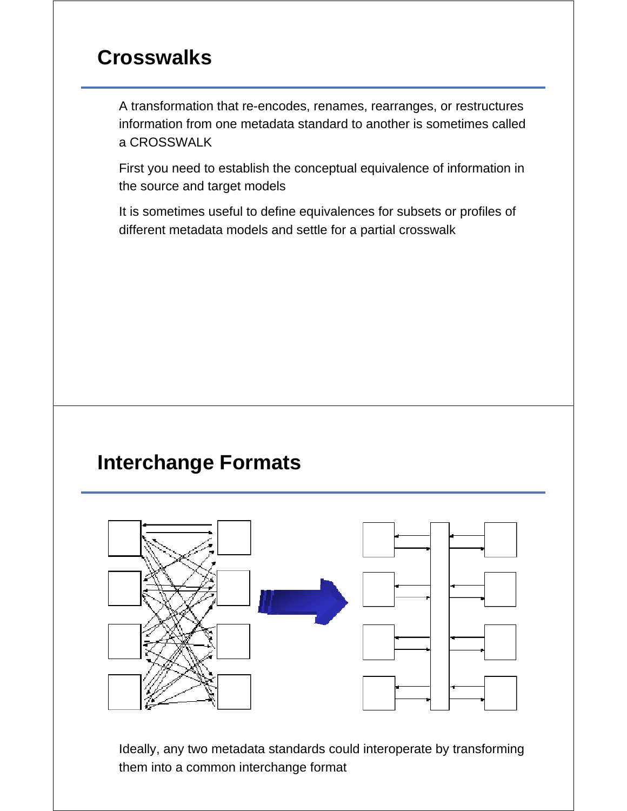### **Crosswalks**

A transformation that re-encodes, renames, rearranges, or restructures information from one metadata standard to another is sometimes called a CROSSWALK

First you need to establish the conceptual equivalence of information in the source and target models

It is sometimes useful to define equivalences for subsets or profiles of different metadata models and settle for a partial crosswalk

#### **Interchange Formats**



Ideally, any two metadata standards could interoperate by transforming them into a common interchange format